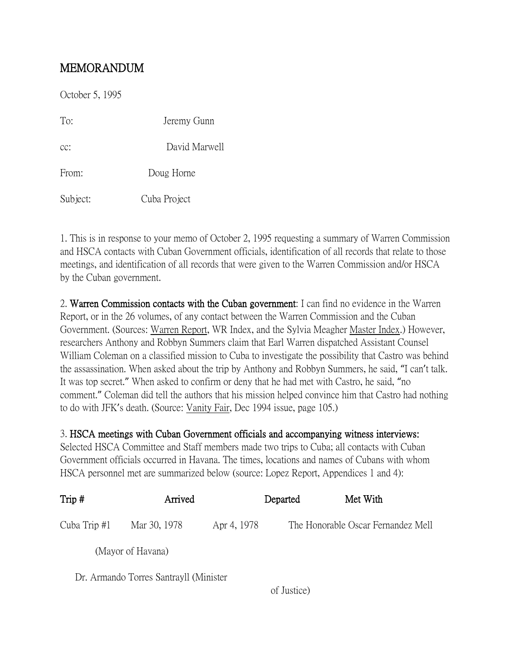## MEMORANDUM

October 5, 1995 To: Jeremy Gunn cc: David Marwell From: Doug Horne Subject: Cuba Project

1. This is in response to your memo of October 2, 1995 requesting a summary of Warren Commission and HSCA contacts with Cuban Government officials, identification of all records that relate to those meetings, and identification of all records that were given to the Warren Commission and/or HSCA by the Cuban government.

2. Warren Commission contacts with the Cuban government: I can find no evidence in the Warren Report, or in the 26 volumes, of any contact between the Warren Commission and the Cuban Government. (Sources: Warren Report, WR Index, and the Sylvia Meagher Master Index.) However, researchers Anthony and Robbyn Summers claim that Earl Warren dispatched Assistant Counsel William Coleman on a classified mission to Cuba to investigate the possibility that Castro was behind the assassination. When asked about the trip by Anthony and Robbyn Summers, he said, "I can't talk. It was top secret." When asked to confirm or deny that he had met with Castro, he said, "no comment." Coleman did tell the authors that his mission helped convince him that Castro had nothing to do with JFK's death. (Source: Vanity Fair, Dec 1994 issue, page 105.)

## 3. HSCA meetings with Cuban Government officials and accompanying witness interviews:

Selected HSCA Committee and Staff members made two trips to Cuba; all contacts with Cuban Government officials occurred in Havana. The times, locations and names of Cubans with whom HSCA personnel met are summarized below (source: Lopez Report, Appendices 1 and 4):

| Trip#        | Arrived                                |             | Departed | Met With                           |
|--------------|----------------------------------------|-------------|----------|------------------------------------|
| Cuba Trip #1 | Mar 30, 1978                           | Apr 4, 1978 |          | The Honorable Oscar Fernandez Mell |
|              | (Mayor of Havana)                      |             |          |                                    |
|              | Dr. Armando Torres Santrayll (Minister |             |          |                                    |

of Justice)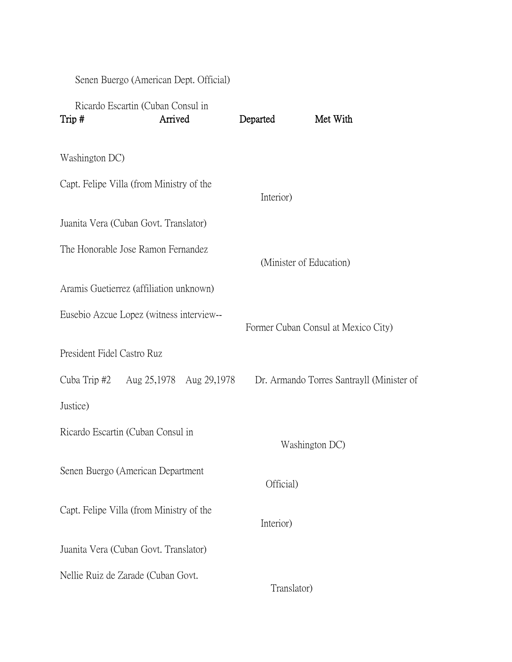Senen Buergo (American Dept. Official)

| Trip#                                    | Ricardo Escartin (Cuban Consul in<br>Arrived | Departed    | Met With                                  |
|------------------------------------------|----------------------------------------------|-------------|-------------------------------------------|
| Washington DC)                           |                                              |             |                                           |
| Capt. Felipe Villa (from Ministry of the |                                              | Interior)   |                                           |
| Juanita Vera (Cuban Govt. Translator)    |                                              |             |                                           |
| The Honorable Jose Ramon Fernandez       |                                              |             | (Minister of Education)                   |
| Aramis Guetierrez (affiliation unknown)  |                                              |             |                                           |
| Eusebio Azcue Lopez (witness interview-- |                                              |             | Former Cuban Consul at Mexico City)       |
| President Fidel Castro Ruz               |                                              |             |                                           |
| Cuba Trip #2                             | Aug 25,1978 Aug 29,1978                      |             | Dr. Armando Torres Santrayll (Minister of |
| Justice)                                 |                                              |             |                                           |
| Ricardo Escartin (Cuban Consul in        |                                              |             | Washington DC)                            |
| Senen Buergo (American Department        |                                              | Official)   |                                           |
| Capt. Felipe Villa (from Ministry of the |                                              | Interior)   |                                           |
| Juanita Vera (Cuban Govt. Translator)    |                                              |             |                                           |
| Nellie Ruiz de Zarade (Cuban Govt.       |                                              | Translator) |                                           |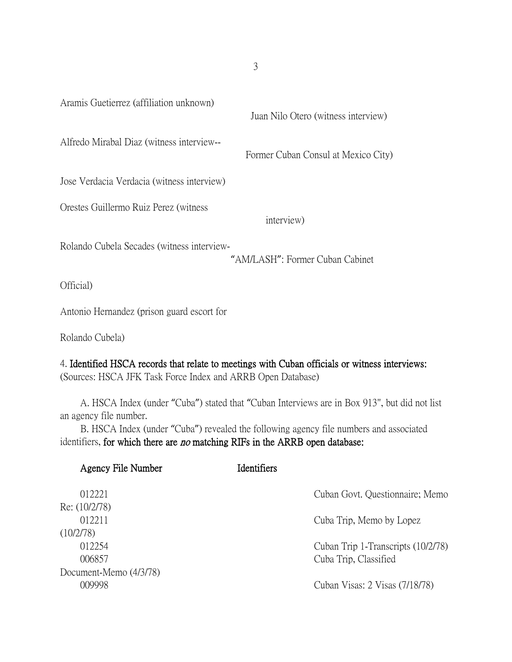Aramis Guetierrez (affiliation unknown) Juan Nilo Otero (witness interview) Alfredo Mirabal Diaz (witness interview-- Former Cuban Consul at Mexico City) Jose Verdacia Verdacia (witness interview) Orestes Guillermo Ruiz Perez (witness interview) Rolando Cubela Secades (witness interview- "AM/LASH": Former Cuban Cabinet Official) Antonio Hernandez (prison guard escort for

Rolando Cubela)

## 4. Identified HSCA records that relate to meetings with Cuban officials or witness interviews:

(Sources: HSCA JFK Task Force Index and ARRB Open Database)

 A. HSCA Index (under "Cuba") stated that "Cuban Interviews are in Box 913", but did not list an agency file number.

 B. HSCA Index (under "Cuba") revealed the following agency file numbers and associated identifiers, for which there are *no* matching RIFs in the ARRB open database:

| Agency File Number     | <b>Identifiers</b> |                                    |
|------------------------|--------------------|------------------------------------|
| 012221                 |                    | Cuban Govt. Questionnaire; Memo    |
| Re: (10/2/78)          |                    |                                    |
| 012211                 |                    | Cuba Trip, Memo by Lopez           |
| (10/2/78)              |                    |                                    |
| 012254                 |                    | Cuban Trip 1-Transcripts (10/2/78) |
| 006857                 |                    | Cuba Trip, Classified              |
| Document-Memo (4/3/78) |                    |                                    |
| 009998                 |                    | Cuban Visas: 2 Visas (7/18/78)     |

3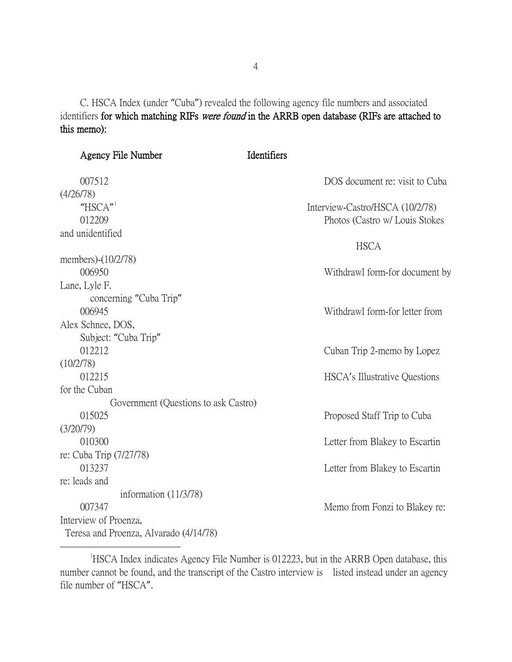C. HSCA Index (under "Cuba") revealed the following agency file numbers and associated identifiers for which matching RIFs were found in the ARRB open database (RIFs are attached to this memo):

| <b>Agency File Number</b>              | Identifiers                     |
|----------------------------------------|---------------------------------|
| 007512                                 | DOS document re: visit to Cuba  |
| (4/26/78)                              |                                 |
| " $HSCA"$                              | Interview-Castro/HSCA (10/2/78) |
| 012209                                 | Photos (Castro w/ Louis Stokes  |
| and unidentified                       |                                 |
|                                        | <b>HSCA</b>                     |
| members)-(10/2/78)                     |                                 |
| 006950                                 | Withdrawl form-for document by  |
| Lane, Lyle F.                          |                                 |
| concerning "Cuba Trip"                 |                                 |
| 006945                                 | Withdrawl form-for letter from  |
| Alex Schnee, DOS,                      |                                 |
| Subject: "Cuba Trip"                   |                                 |
| 012212                                 | Cuban Trip 2-memo by Lopez      |
| (10/2/78)                              |                                 |
| 012215                                 | HSCA's Illustrative Questions   |
| for the Cuban                          |                                 |
| Government (Questions to ask Castro)   |                                 |
| 015025                                 | Proposed Staff Trip to Cuba     |
| (3/20/79)                              |                                 |
| 010300                                 | Letter from Blakey to Escartin  |
| re: Cuba Trip (7/27/78)                |                                 |
| 013237                                 | Letter from Blakey to Escartin  |
| re: leads and                          |                                 |
| information $(11/3/78)$                |                                 |
| 007347                                 | Memo from Fonzi to Blakey re:   |
| Interview of Proenza,                  |                                 |
| Teresa and Proenza, Alvarado (4/14/78) |                                 |

<span id="page-3-0"></span> $\overline{\phantom{a}}$ <sup>1</sup>HSCA Index indicates Agency File Number is 012223, but in the ARRB Open database, this number cannot be found, and the transcript of the Castro interview is listed instead under an agency file number of "HSCA".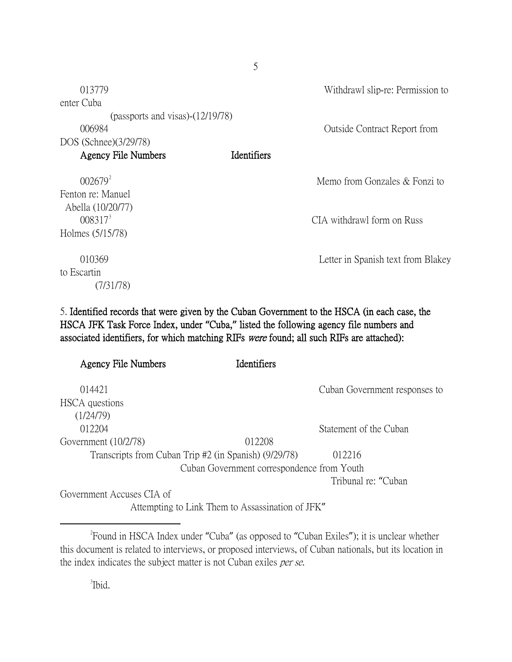| 013779                              |             | Withdrawl slip-re: Permission to    |
|-------------------------------------|-------------|-------------------------------------|
| enter Cuba                          |             |                                     |
| (passports and visas) $-(12/19/78)$ |             |                                     |
| 006984                              |             | <b>Outside Contract Report from</b> |
| DOS (Schnee)(3/29/78)               |             |                                     |
| <b>Agency File Numbers</b>          | Identifiers |                                     |
| $002679^2$                          |             | Memo from Gonzales & Fonzi to       |
| Fenton re: Manuel                   |             |                                     |
| Abella (10/20/77)                   |             |                                     |
| $008317^3$                          |             | CIA withdrawl form on Russ          |
| Holmes (5/15/78)                    |             |                                     |
| 010369                              |             | Letter in Spanish text from Blakey  |
| to Escartin                         |             |                                     |
| (7/31/78)                           |             |                                     |

5

5. Identified records that were given by the Cuban Government to the HSCA (in each case, the HSCA JFK Task Force Index, under **"**Cuba,**"** listed the following agency file numbers and associated identifiers, for which matching RIFs were found; all such RIFs are attached):

| <b>Agency File Numbers</b>                            | <b>Identifiers</b>                         |                               |
|-------------------------------------------------------|--------------------------------------------|-------------------------------|
| 014421                                                |                                            | Cuban Government responses to |
| HSCA questions                                        |                                            |                               |
| (1/24/79)                                             |                                            |                               |
| 012204                                                |                                            | Statement of the Cuban        |
| Government $(10/2/78)$                                | 012208                                     |                               |
| Transcripts from Cuban Trip #2 (in Spanish) (9/29/78) |                                            | 012216                        |
|                                                       | Cuban Government correspondence from Youth |                               |
|                                                       |                                            | Tribunal re: "Cuban"          |
| Government Accuses CIA of                             |                                            |                               |

Attempting to Link Them to Assassination of JFK"

3 Ibid.

<span id="page-4-1"></span><span id="page-4-0"></span> $\overline{\phantom{a}}$   $\overline{\phantom{a}}$   $\overline{\phantom{a}}$   $\overline{\phantom{a}}$ Found in HSCA Index under "Cuba" (as opposed to "Cuban Exiles"); it is unclear whether this document is related to interviews, or proposed interviews, of Cuban nationals, but its location in the index indicates the subject matter is not Cuban exiles per se.